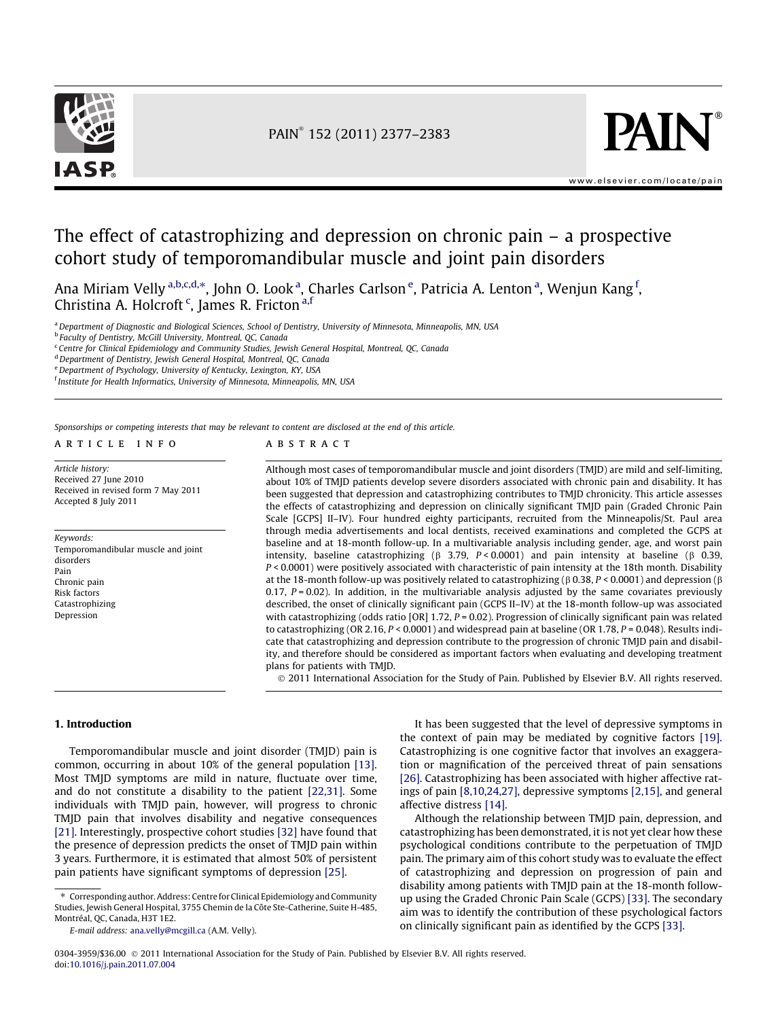



[www.elsevier.com/locate/pain](http://www.elsevier.com/locate/pain)

## The effect of catastrophizing and depression on chronic pain – a prospective cohort study of temporomandibular muscle and joint pain disorders

Ana Miriam Velly <sup>a,b,c,d,</sup>\*, John O. Look <sup>a</sup>, Charles Carlson <sup>e</sup>, Patricia A. Lenton <sup>a</sup>, Wenjun Kang <sup>f</sup>, Christina A. Holcroft<sup>c</sup>, James R. Fricton<sup>a,f</sup>

a Department of Diagnostic and Biological Sciences, School of Dentistry, University of Minnesota, Minneapolis, MN, USA

<sup>b</sup> Faculty of Dentistry, McGill University, Montreal, QC, Canada

<sup>c</sup> Centre for Clinical Epidemiology and Community Studies, Jewish General Hospital, Montreal, QC, Canada

<sup>d</sup> Department of Dentistry, Jewish General Hospital, Montreal, QC, Canada

e Department of Psychology, University of Kentucky, Lexington, KY, USA

<sup>f</sup> Institute for Health Informatics, University of Minnesota, Minneapolis, MN, USA

Sponsorships or competing interests that may be relevant to content are disclosed at the end of this article.

article info

Article history: Received 27 June 2010 Received in revised form 7 May 2011 Accepted 8 July 2011

Keywords: Temporomandibular muscle and joint disorders Pain Chronic pain Risk factors Catastrophizing Depression

#### **ABSTRACT**

Although most cases of temporomandibular muscle and joint disorders (TMJD) are mild and self-limiting, about 10% of TMJD patients develop severe disorders associated with chronic pain and disability. It has been suggested that depression and catastrophizing contributes to TMJD chronicity. This article assesses the effects of catastrophizing and depression on clinically significant TMJD pain (Graded Chronic Pain Scale [GCPS] II–IV). Four hundred eighty participants, recruited from the Minneapolis/St. Paul area through media advertisements and local dentists, received examinations and completed the GCPS at baseline and at 18-month follow-up. In a multivariable analysis including gender, age, and worst pain intensity, baseline catastrophizing ( $\beta$  3.79, P < 0.0001) and pain intensity at baseline ( $\beta$  0.39, P < 0.0001) were positively associated with characteristic of pain intensity at the 18th month. Disability at the 18-month follow-up was positively related to catastrophizing ( $\beta$  0.38, P < 0.0001) and depression ( $\beta$ 0.17,  $P = 0.02$ ). In addition, in the multivariable analysis adjusted by the same covariates previously described, the onset of clinically significant pain (GCPS II–IV) at the 18-month follow-up was associated with catastrophizing (odds ratio  $[OR]$  1.72,  $P = 0.02$ ). Progression of clinically significant pain was related to catastrophizing (OR 2.16,  $P < 0.0001$ ) and widespread pain at baseline (OR 1.78,  $P = 0.048$ ). Results indicate that catastrophizing and depression contribute to the progression of chronic TMJD pain and disability, and therefore should be considered as important factors when evaluating and developing treatment plans for patients with TMJD.

- 2011 International Association for the Study of Pain. Published by Elsevier B.V. All rights reserved.

## 1. Introduction

Temporomandibular muscle and joint disorder (TMJD) pain is common, occurring in about 10% of the general population [\[13\].](#page--1-0) Most TMJD symptoms are mild in nature, fluctuate over time, and do not constitute a disability to the patient [\[22,31\].](#page--1-0) Some individuals with TMJD pain, however, will progress to chronic TMJD pain that involves disability and negative consequences [\[21\].](#page--1-0) Interestingly, prospective cohort studies [\[32\]](#page--1-0) have found that the presence of depression predicts the onset of TMJD pain within 3 years. Furthermore, it is estimated that almost 50% of persistent pain patients have significant symptoms of depression [\[25\]](#page--1-0).

⇑ Corresponding author. Address: Centre for Clinical Epidemiology and Community Studies, Jewish General Hospital, 3755 Chemin de la Côte Ste-Catherine, Suite H-485, Montréal, QC, Canada, H3T 1E2.

It has been suggested that the level of depressive symptoms in the context of pain may be mediated by cognitive factors [\[19\].](#page--1-0) Catastrophizing is one cognitive factor that involves an exaggeration or magnification of the perceived threat of pain sensations [\[26\]](#page--1-0). Catastrophizing has been associated with higher affective ratings of pain [\[8,10,24,27\]](#page--1-0), depressive symptoms [\[2,15\],](#page--1-0) and general affective distress [\[14\]](#page--1-0).

Although the relationship between TMJD pain, depression, and catastrophizing has been demonstrated, it is not yet clear how these psychological conditions contribute to the perpetuation of TMJD pain. The primary aim of this cohort study was to evaluate the effect of catastrophizing and depression on progression of pain and disability among patients with TMJD pain at the 18-month followup using the Graded Chronic Pain Scale (GCPS) [\[33\]](#page--1-0). The secondary aim was to identify the contribution of these psychological factors on clinically significant pain as identified by the GCPS [\[33\]](#page--1-0).

E-mail address: [ana.velly@mcgill.ca](mailto:ana.velly@mcgill.ca) (A.M. Velly).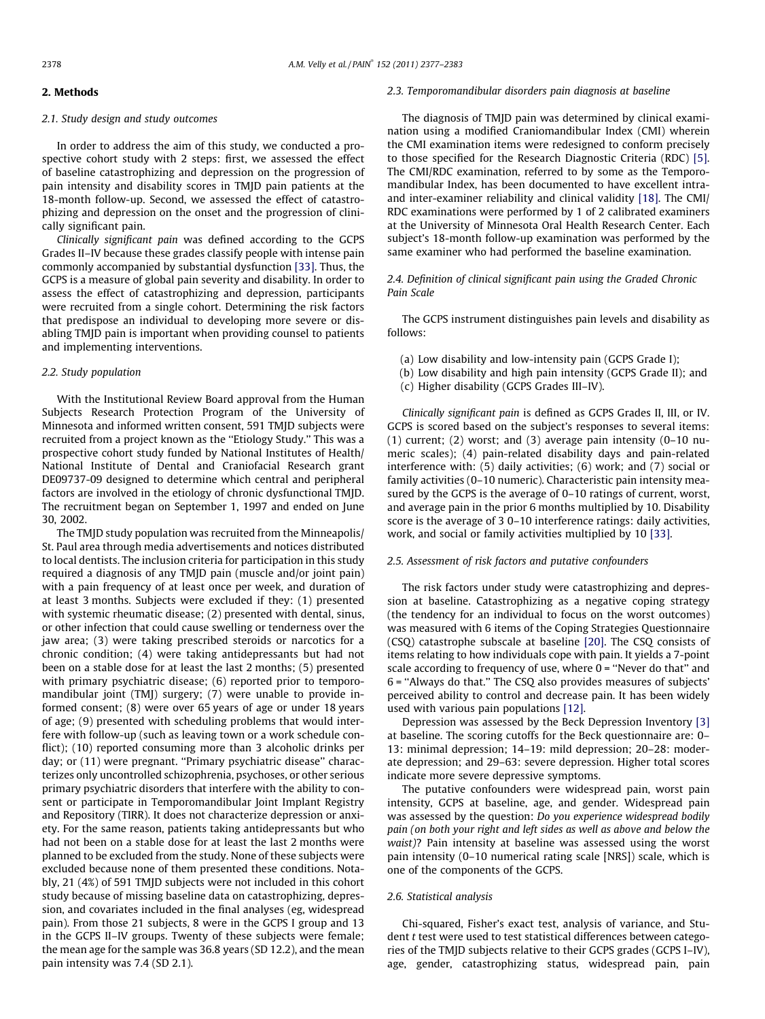## 2. Methods

## 2.1. Study design and study outcomes

In order to address the aim of this study, we conducted a prospective cohort study with 2 steps: first, we assessed the effect of baseline catastrophizing and depression on the progression of pain intensity and disability scores in TMJD pain patients at the 18-month follow-up. Second, we assessed the effect of catastrophizing and depression on the onset and the progression of clinically significant pain.

Clinically significant pain was defined according to the GCPS Grades II–IV because these grades classify people with intense pain commonly accompanied by substantial dysfunction [\[33\].](#page--1-0) Thus, the GCPS is a measure of global pain severity and disability. In order to assess the effect of catastrophizing and depression, participants were recruited from a single cohort. Determining the risk factors that predispose an individual to developing more severe or disabling TMJD pain is important when providing counsel to patients and implementing interventions.

#### 2.2. Study population

With the Institutional Review Board approval from the Human Subjects Research Protection Program of the University of Minnesota and informed written consent, 591 TMJD subjects were recruited from a project known as the "Etiology Study." This was a prospective cohort study funded by National Institutes of Health/ National Institute of Dental and Craniofacial Research grant DE09737-09 designed to determine which central and peripheral factors are involved in the etiology of chronic dysfunctional TMJD. The recruitment began on September 1, 1997 and ended on June 30, 2002.

The TMJD study population was recruited from the Minneapolis/ St. Paul area through media advertisements and notices distributed to local dentists. The inclusion criteria for participation in this study required a diagnosis of any TMJD pain (muscle and/or joint pain) with a pain frequency of at least once per week, and duration of at least 3 months. Subjects were excluded if they: (1) presented with systemic rheumatic disease; (2) presented with dental, sinus, or other infection that could cause swelling or tenderness over the jaw area; (3) were taking prescribed steroids or narcotics for a chronic condition; (4) were taking antidepressants but had not been on a stable dose for at least the last 2 months; (5) presented with primary psychiatric disease; (6) reported prior to temporomandibular joint (TMJ) surgery; (7) were unable to provide informed consent; (8) were over 65 years of age or under 18 years of age; (9) presented with scheduling problems that would interfere with follow-up (such as leaving town or a work schedule conflict); (10) reported consuming more than 3 alcoholic drinks per day; or (11) were pregnant. ''Primary psychiatric disease'' characterizes only uncontrolled schizophrenia, psychoses, or other serious primary psychiatric disorders that interfere with the ability to consent or participate in Temporomandibular Joint Implant Registry and Repository (TIRR). It does not characterize depression or anxiety. For the same reason, patients taking antidepressants but who had not been on a stable dose for at least the last 2 months were planned to be excluded from the study. None of these subjects were excluded because none of them presented these conditions. Notably, 21 (4%) of 591 TMJD subjects were not included in this cohort study because of missing baseline data on catastrophizing, depression, and covariates included in the final analyses (eg, widespread pain). From those 21 subjects, 8 were in the GCPS I group and 13 in the GCPS II–IV groups. Twenty of these subjects were female; the mean age for the sample was 36.8 years (SD 12.2), and the mean pain intensity was 7.4 (SD 2.1).

#### 2.3. Temporomandibular disorders pain diagnosis at baseline

The diagnosis of TMJD pain was determined by clinical examination using a modified Craniomandibular Index (CMI) wherein the CMI examination items were redesigned to conform precisely to those specified for the Research Diagnostic Criteria (RDC) [\[5\].](#page--1-0) The CMI/RDC examination, referred to by some as the Temporomandibular Index, has been documented to have excellent intraand inter-examiner reliability and clinical validity [\[18\].](#page--1-0) The CMI/ RDC examinations were performed by 1 of 2 calibrated examiners at the University of Minnesota Oral Health Research Center. Each subject's 18-month follow-up examination was performed by the same examiner who had performed the baseline examination.

## 2.4. Definition of clinical significant pain using the Graded Chronic Pain Scale

The GCPS instrument distinguishes pain levels and disability as follows:

- (a) Low disability and low-intensity pain (GCPS Grade I);
- (b) Low disability and high pain intensity (GCPS Grade II); and
- (c) Higher disability (GCPS Grades III–IV).

Clinically significant pain is defined as GCPS Grades II, III, or IV. GCPS is scored based on the subject's responses to several items: (1) current; (2) worst; and (3) average pain intensity (0–10 numeric scales); (4) pain-related disability days and pain-related interference with: (5) daily activities; (6) work; and (7) social or family activities (0–10 numeric). Characteristic pain intensity measured by the GCPS is the average of 0–10 ratings of current, worst, and average pain in the prior 6 months multiplied by 10. Disability score is the average of 3 0–10 interference ratings: daily activities, work, and social or family activities multiplied by 10 [\[33\].](#page--1-0)

### 2.5. Assessment of risk factors and putative confounders

The risk factors under study were catastrophizing and depression at baseline. Catastrophizing as a negative coping strategy (the tendency for an individual to focus on the worst outcomes) was measured with 6 items of the Coping Strategies Questionnaire (CSQ) catastrophe subscale at baseline [\[20\]](#page--1-0). The CSQ consists of items relating to how individuals cope with pain. It yields a 7-point scale according to frequency of use, where 0 = ''Never do that'' and 6 = ''Always do that.'' The CSQ also provides measures of subjects' perceived ability to control and decrease pain. It has been widely used with various pain populations [\[12\]](#page--1-0).

Depression was assessed by the Beck Depression Inventory [\[3\]](#page--1-0) at baseline. The scoring cutoffs for the Beck questionnaire are: 0– 13: minimal depression; 14–19: mild depression; 20–28: moderate depression; and 29–63: severe depression. Higher total scores indicate more severe depressive symptoms.

The putative confounders were widespread pain, worst pain intensity, GCPS at baseline, age, and gender. Widespread pain was assessed by the question: Do you experience widespread bodily pain (on both your right and left sides as well as above and below the waist)? Pain intensity at baseline was assessed using the worst pain intensity (0–10 numerical rating scale [NRS]) scale, which is one of the components of the GCPS.

## 2.6. Statistical analysis

Chi-squared, Fisher's exact test, analysis of variance, and Student t test were used to test statistical differences between categories of the TMJD subjects relative to their GCPS grades (GCPS I–IV), age, gender, catastrophizing status, widespread pain, pain